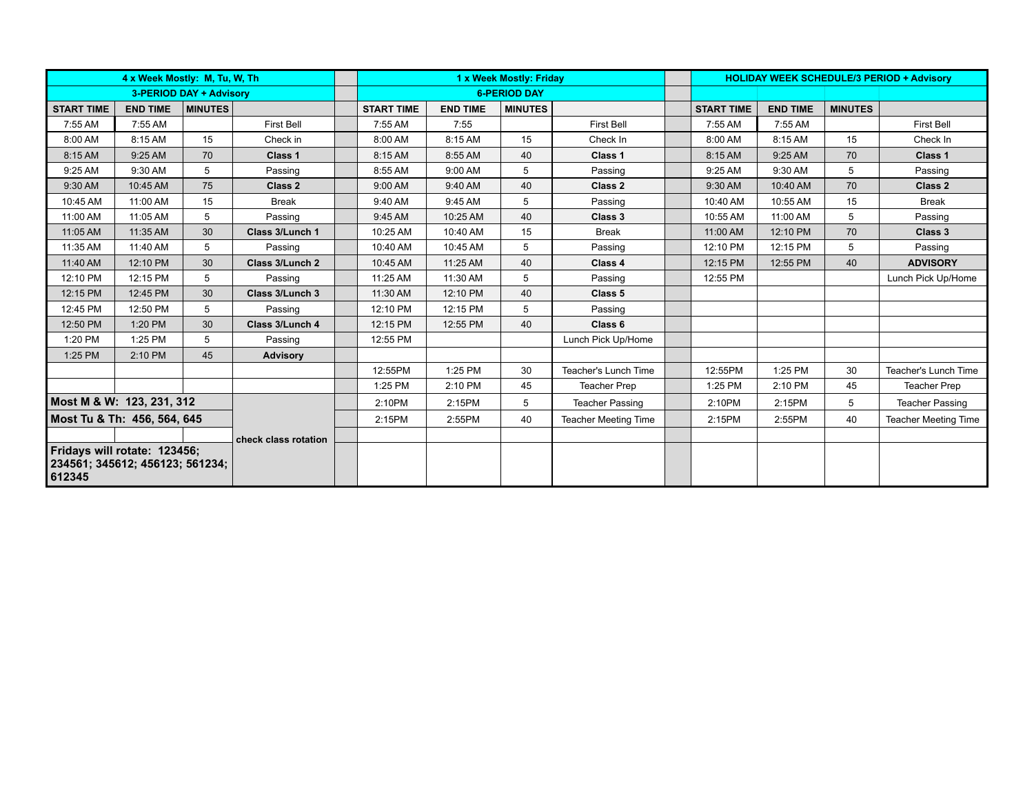| 4 x Week Mostly: M, Tu, W, Th                                             |                 |                |                      |                   | 1 x Week Mostly: Friday |                | <b>HOLIDAY WEEK SCHEDULE/3 PERIOD + Advisory</b> |                   |                 |                |                             |  |  |  |
|---------------------------------------------------------------------------|-----------------|----------------|----------------------|-------------------|-------------------------|----------------|--------------------------------------------------|-------------------|-----------------|----------------|-----------------------------|--|--|--|
| <b>3-PERIOD DAY + Advisory</b>                                            |                 |                |                      |                   | <b>6-PERIOD DAY</b>     |                |                                                  |                   |                 |                |                             |  |  |  |
| <b>START TIME</b>                                                         | <b>END TIME</b> | <b>MINUTES</b> |                      | <b>START TIME</b> | <b>END TIME</b>         | <b>MINUTES</b> |                                                  | <b>START TIME</b> | <b>END TIME</b> | <b>MINUTES</b> |                             |  |  |  |
| 7:55 AM                                                                   | 7:55 AM         |                | <b>First Bell</b>    | 7:55 AM           | 7:55                    |                | <b>First Bell</b>                                | 7:55 AM           | 7:55 AM         |                | <b>First Bell</b>           |  |  |  |
| 8:00 AM                                                                   | 8:15 AM         | 15             | Check in             | 8:00 AM           | 8:15 AM                 | 15             | Check In                                         | 8:00 AM           | 8:15 AM         | 15             | Check In                    |  |  |  |
| 8:15 AM                                                                   | 9:25 AM         | 70             | Class 1              | 8:15 AM           | 8:55 AM                 | 40             | Class 1                                          | 8:15 AM           | 9:25 AM         | 70             | Class 1                     |  |  |  |
| 9:25 AM                                                                   | 9:30 AM         | 5              | Passing              | 8:55 AM           | 9:00 AM                 | 5              | Passing                                          | 9:25 AM           | 9:30 AM         | 5              | Passing                     |  |  |  |
| 9:30 AM                                                                   | 10:45 AM        | 75             | Class 2              | 9:00 AM           | 9:40 AM                 | 40             | Class 2                                          | 9:30 AM           | 10:40 AM        | 70             | Class 2                     |  |  |  |
| 10:45 AM                                                                  | 11:00 AM        | 15             | <b>Break</b>         | 9:40 AM           | 9:45 AM                 | 5              | Passing                                          | 10:40 AM          | 10:55 AM        | 15             | <b>Break</b>                |  |  |  |
| 11:00 AM                                                                  | 11:05 AM        | 5              | Passing              | 9:45 AM           | 10:25 AM                | 40             | Class 3                                          | 10:55 AM          | 11:00 AM        | 5              | Passing                     |  |  |  |
| 11:05 AM                                                                  | 11:35 AM        | 30             | Class 3/Lunch 1      | 10:25 AM          | 10:40 AM                | 15             | <b>Break</b>                                     | 11:00 AM          | 12:10 PM        | 70             | Class 3                     |  |  |  |
| 11:35 AM                                                                  | 11:40 AM        | 5              | Passing              | 10:40 AM          | 10:45 AM                | 5              | Passing                                          | 12:10 PM          | 12:15 PM        | 5              | Passing                     |  |  |  |
| 11:40 AM                                                                  | 12:10 PM        | 30             | Class 3/Lunch 2      | 10:45 AM          | 11:25 AM                | 40             | Class 4                                          | 12:15 PM          | 12:55 PM        | 40             | <b>ADVISORY</b>             |  |  |  |
| 12:10 PM                                                                  | 12:15 PM        | 5              | Passing              | 11:25 AM          | 11:30 AM                | 5              | Passing                                          | 12:55 PM          |                 |                | Lunch Pick Up/Home          |  |  |  |
| 12:15 PM                                                                  | 12:45 PM        | 30             | Class 3/Lunch 3      | 11:30 AM          | 12:10 PM                | 40             | Class 5                                          |                   |                 |                |                             |  |  |  |
| 12:45 PM                                                                  | 12:50 PM        | 5              | Passing              | 12:10 PM          | 12:15 PM                | 5              | Passing                                          |                   |                 |                |                             |  |  |  |
| 12:50 PM                                                                  | 1:20 PM         | 30             | Class 3/Lunch 4      | 12:15 PM          | 12:55 PM                | 40             | Class 6                                          |                   |                 |                |                             |  |  |  |
| 1:20 PM                                                                   | 1:25 PM         | 5              | Passing              | 12:55 PM          |                         |                | Lunch Pick Up/Home                               |                   |                 |                |                             |  |  |  |
| 1:25 PM                                                                   | 2:10 PM         | 45             | <b>Advisory</b>      |                   |                         |                |                                                  |                   |                 |                |                             |  |  |  |
|                                                                           |                 |                |                      | 12:55PM           | 1:25 PM                 | 30             | Teacher's Lunch Time                             | 12:55PM           | 1:25 PM         | 30             | Teacher's Lunch Time        |  |  |  |
|                                                                           |                 |                |                      | 1:25 PM           | 2:10 PM                 | 45             | <b>Teacher Prep</b>                              | 1:25 PM           | 2:10 PM         | 45             | <b>Teacher Prep</b>         |  |  |  |
| Most M & W: 123, 231, 312                                                 |                 |                |                      | 2:10PM            | 2:15PM                  | 5              | <b>Teacher Passing</b>                           | 2:10PM            | 2:15PM          | 5              | <b>Teacher Passing</b>      |  |  |  |
| Most Tu & Th: 456, 564, 645                                               |                 |                |                      | 2:15PM            | 2:55PM                  | 40             | <b>Teacher Meeting Time</b>                      | 2:15PM            | 2:55PM          | 40             | <b>Teacher Meeting Time</b> |  |  |  |
|                                                                           |                 |                | check class rotation |                   |                         |                |                                                  |                   |                 |                |                             |  |  |  |
| Fridays will rotate: 123456;<br>234561; 345612; 456123; 561234;<br>612345 |                 |                |                      |                   |                         |                |                                                  |                   |                 |                |                             |  |  |  |